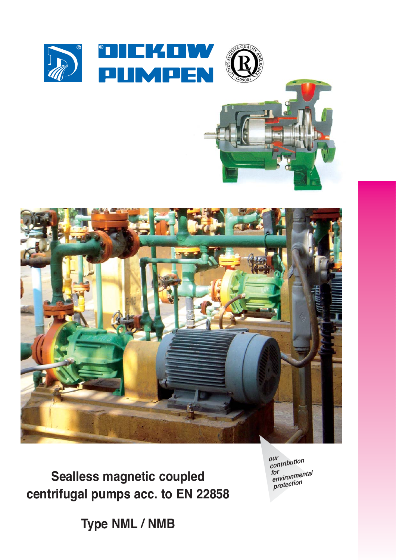

**Sealless magnetic coupled centrifugal pumps acc. to EN 22858** *our contribution for environmental protection*

**Type NML / NMB**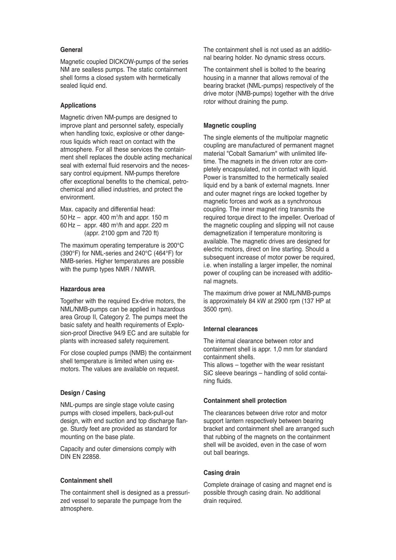# **General**

Magnetic coupled DICKOW-pumps of the series NM are sealless pumps. The static containment shell forms a closed system with hermetically sealed liquid end.

# **Applications**

Magnetic driven NM-pumps are designed to improve plant and personnel safety, especially when handling toxic, explosive or other dangerous liquids which react on contact with the atmosphere. For all these services the containment shell replaces the double acting mechanical seal with external fluid reservoirs and the necessary control equipment. NM-pumps therefore offer exceptional benefits to the chemical, petrochemical and allied industries, and protect the environment.

Max. capacity and differential head: 50 Hz – appr. 400 m3 /h and appr. 150 m 60 Hz – appr. 480 m<sup>3</sup>/h and appr. 220 m (appr. 2100 gpm and 720 ft)

The maximum operating temperature is 200°C (390°F) for NML-series and 240°C (464°F) for NMB-series. Higher temperatures are possible with the pump types NMR / NMWR.

# **Hazardous area**

Together with the required Ex-drive motors, the NML/NMB-pumps can be applied in hazardous area Group II, Category 2. The pumps meet the basic safety and health requirements of Explosion-proof Directive 94/9 EC and are suitable for plants with increased safety requirement.

For close coupled pumps (NMB) the containment shell temperature is limited when using exmotors. The values are available on request.

## **Design / Casing**

NML-pumps are single stage volute casing pumps with closed impellers, back-pull-out design, with end suction and top discharge flange. Sturdy feet are provided as standard for mounting on the base plate.

Capacity and outer dimensions comply with DIN EN 22858.

# **Containment shell**

The containment shell is designed as a pressurized vessel to separate the pumpage from the atmosphere.

The containment shell is not used as an additional bearing holder. No dynamic stress occurs.

The containment shell is bolted to the bearing housing in a manner that allows removal of the bearing bracket (NML-pumps) respectively of the drive motor (NMB-pumps) together with the drive rotor without draining the pump.

## **Magnetic coupling**

The single elements of the multipolar magnetic coupling are manufactured of permanent magnet material "Cobalt Samarium" with unlimited lifetime. The magnets in the driven rotor are completely encapsulated, not in contact with liquid. Power is transmitted to the hermetically sealed liquid end by a bank of external magnets. Inner and outer magnet rings are locked together by magnetic forces and work as a synchronous coupling. The inner magnet ring transmits the required torque direct to the impeller. Overload of the magnetic coupling and slipping will not cause demagnetization if temperature monitoring is available. The magnetic drives are designed for electric motors, direct on line starting. Should a subsequent increase of motor power be required, i.e. when installing a larger impeller, the nominal power of coupling can be increased with additional magnets.

The maximum drive power at NML/NMB-pumps is approximately 84 kW at 2900 rpm (137 HP at 3500 rpm).

## **Internal clearances**

The internal clearance between rotor and containment shell is appr. 1,0 mm for standard containment shells.

This allows – together with the wear resistant SiC sleeve bearings – handling of solid containing fluids.

## **Containment shell protection**

The clearances between drive rotor and motor support lantern respectively between bearing bracket and containment shell are arranged such that rubbing of the magnets on the containment shell will be avoided, even in the case of worn out ball bearings.

## **Casing drain**

Complete drainage of casing and magnet end is possible through casing drain. No additional drain required.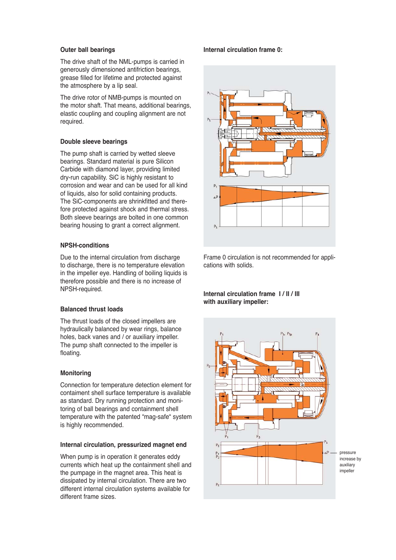# **Outer ball bearings**

The drive shaft of the NML-pumps is carried in generously dimensioned antifriction bearings, grease filled for lifetime and protected against the atmosphere by a lip seal.

The drive rotor of NMB-pumps is mounted on the motor shaft. That means, additional bearings, elastic coupling and coupling alignment are not required.

# **Double sleeve bearings**

The pump shaft is carried by wetted sleeve bearings. Standard material is pure Silicon Carbide with diamond layer, providing limited dry-run capability. SiC is highly resistant to corrosion and wear and can be used for all kind of liquids, also for solid containing products. The SiC-components are shrinkfitted and therefore protected against shock and thermal stress. Both sleeve bearings are bolted in one common bearing housing to grant a correct alignment.

# **NPSH-conditions**

Due to the internal circulation from discharge to discharge, there is no temperature elevation in the impeller eye. Handling of boiling liquids is therefore possible and there is no increase of NPSH-required.

## **Balanced thrust loads**

The thrust loads of the closed impellers are hydraulically balanced by wear rings, balance holes, back vanes and / or auxiliary impeller. The pump shaft connected to the impeller is floating.

# **Monitoring**

Connection for temperature detection element for contaiment shell surface temperature is available as standard. Dry running protection and monitoring of ball bearings and containment shell temperature with the patented "mag-safe" system is highly recommended.

## **Internal circulation, pressurized magnet end**

When pump is in operation it generates eddy currents which heat up the containment shell and the pumpage in the magnet area. This heat is dissipated by internal circulation. There are two different internal circulation systems available for different frame sizes.

## **Internal circulation frame 0:**



Frame 0 circulation is not recommended for applications with solids.

# **Internal circulation frame I / II / III with auxiliary impeller:**

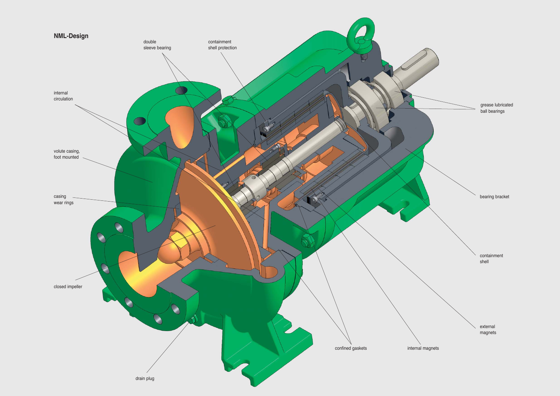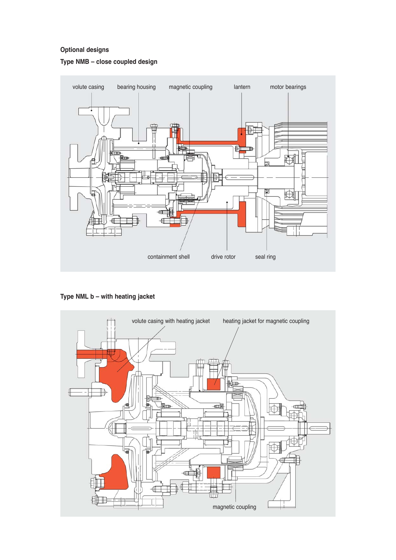# **Optional designs**





**Type NML b – with heating jacket**

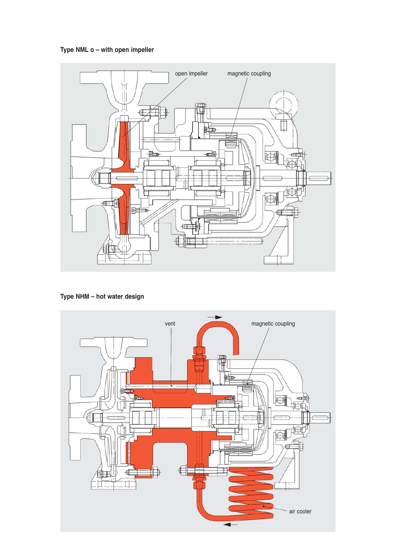**Type NML o – with open impeller**



**Type NHM – hot water design**